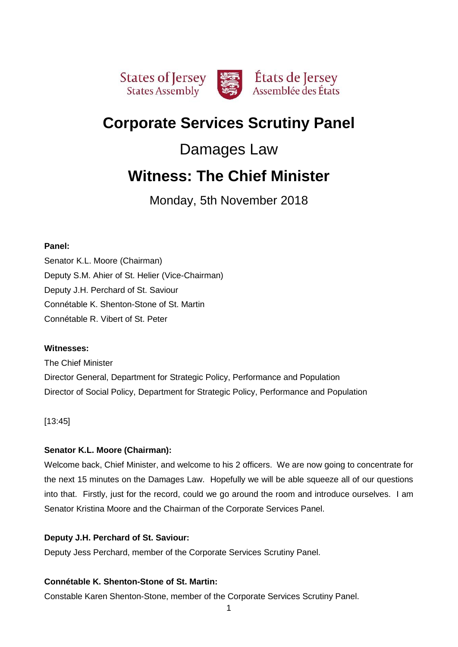

# **Corporate Services Scrutiny Panel**

# Damages Law

# **Witness: The Chief Minister**

Monday, 5th November 2018

# **Panel:**

Senator K.L. Moore (Chairman) Deputy S.M. Ahier of St. Helier (Vice-Chairman) Deputy J.H. Perchard of St. Saviour Connétable K. Shenton-Stone of St. Martin Connétable R. Vibert of St. Peter

# **Witnesses:**

The Chief Minister Director General, Department for Strategic Policy, Performance and Population Director of Social Policy, Department for Strategic Policy, Performance and Population

[13:45]

# **Senator K.L. Moore (Chairman):**

Welcome back, Chief Minister, and welcome to his 2 officers. We are now going to concentrate for the next 15 minutes on the Damages Law. Hopefully we will be able squeeze all of our questions into that. Firstly, just for the record, could we go around the room and introduce ourselves. I am Senator Kristina Moore and the Chairman of the Corporate Services Panel.

# **Deputy J.H. Perchard of St. Saviour:**

Deputy Jess Perchard, member of the Corporate Services Scrutiny Panel.

# **Connétable K. Shenton-Stone of St. Martin:**

Constable Karen Shenton-Stone, member of the Corporate Services Scrutiny Panel.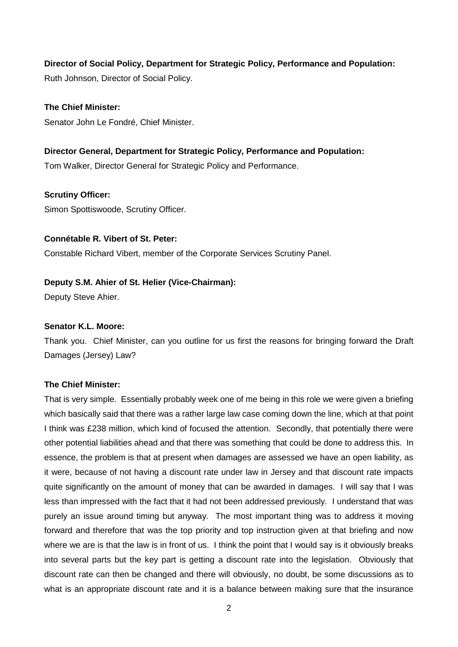# **Director of Social Policy, Department for Strategic Policy, Performance and Population:** Ruth Johnson, Director of Social Policy.

**The Chief Minister:**  Senator John Le Fondré, Chief Minister.

# **Director General, Department for Strategic Policy, Performance and Population:**

Tom Walker, Director General for Strategic Policy and Performance.

Simon Spottiswoode, Scrutiny Officer.

# **Connétable R. Vibert of St. Peter:**

Constable Richard Vibert, member of the Corporate Services Scrutiny Panel.

# **Deputy S.M. Ahier of St. Helier (Vice-Chairman):**

Deputy Steve Ahier.

**Scrutiny Officer:**

#### **Senator K.L. Moore:**

Thank you. Chief Minister, can you outline for us first the reasons for bringing forward the Draft Damages (Jersey) Law?

# **The Chief Minister:**

That is very simple. Essentially probably week one of me being in this role we were given a briefing which basically said that there was a rather large law case coming down the line, which at that point I think was £238 million, which kind of focused the attention. Secondly, that potentially there were other potential liabilities ahead and that there was something that could be done to address this. In essence, the problem is that at present when damages are assessed we have an open liability, as it were, because of not having a discount rate under law in Jersey and that discount rate impacts quite significantly on the amount of money that can be awarded in damages. I will say that I was less than impressed with the fact that it had not been addressed previously. I understand that was purely an issue around timing but anyway. The most important thing was to address it moving forward and therefore that was the top priority and top instruction given at that briefing and now where we are is that the law is in front of us. I think the point that I would say is it obviously breaks into several parts but the key part is getting a discount rate into the legislation. Obviously that discount rate can then be changed and there will obviously, no doubt, be some discussions as to what is an appropriate discount rate and it is a balance between making sure that the insurance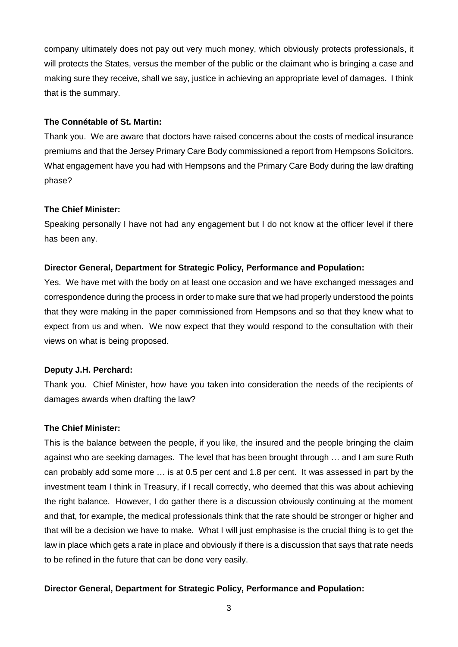company ultimately does not pay out very much money, which obviously protects professionals, it will protects the States, versus the member of the public or the claimant who is bringing a case and making sure they receive, shall we say, justice in achieving an appropriate level of damages. I think that is the summary.

# **The Connétable of St. Martin:**

Thank you. We are aware that doctors have raised concerns about the costs of medical insurance premiums and that the Jersey Primary Care Body commissioned a report from Hempsons Solicitors. What engagement have you had with Hempsons and the Primary Care Body during the law drafting phase?

# **The Chief Minister:**

Speaking personally I have not had any engagement but I do not know at the officer level if there has been any.

#### **Director General, Department for Strategic Policy, Performance and Population:**

Yes. We have met with the body on at least one occasion and we have exchanged messages and correspondence during the process in order to make sure that we had properly understood the points that they were making in the paper commissioned from Hempsons and so that they knew what to expect from us and when. We now expect that they would respond to the consultation with their views on what is being proposed.

#### **Deputy J.H. Perchard:**

Thank you. Chief Minister, how have you taken into consideration the needs of the recipients of damages awards when drafting the law?

#### **The Chief Minister:**

This is the balance between the people, if you like, the insured and the people bringing the claim against who are seeking damages. The level that has been brought through … and I am sure Ruth can probably add some more … is at 0.5 per cent and 1.8 per cent. It was assessed in part by the investment team I think in Treasury, if I recall correctly, who deemed that this was about achieving the right balance. However, I do gather there is a discussion obviously continuing at the moment and that, for example, the medical professionals think that the rate should be stronger or higher and that will be a decision we have to make. What I will just emphasise is the crucial thing is to get the law in place which gets a rate in place and obviously if there is a discussion that says that rate needs to be refined in the future that can be done very easily.

# **Director General, Department for Strategic Policy, Performance and Population:**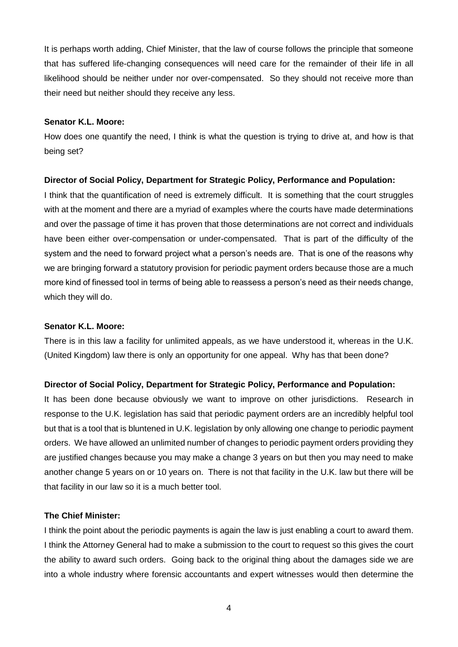It is perhaps worth adding, Chief Minister, that the law of course follows the principle that someone that has suffered life-changing consequences will need care for the remainder of their life in all likelihood should be neither under nor over-compensated. So they should not receive more than their need but neither should they receive any less.

# **Senator K.L. Moore:**

How does one quantify the need, I think is what the question is trying to drive at, and how is that being set?

#### **Director of Social Policy, Department for Strategic Policy, Performance and Population:**

I think that the quantification of need is extremely difficult. It is something that the court struggles with at the moment and there are a myriad of examples where the courts have made determinations and over the passage of time it has proven that those determinations are not correct and individuals have been either over-compensation or under-compensated. That is part of the difficulty of the system and the need to forward project what a person's needs are. That is one of the reasons why we are bringing forward a statutory provision for periodic payment orders because those are a much more kind of finessed tool in terms of being able to reassess a person's need as their needs change, which they will do.

#### **Senator K.L. Moore:**

There is in this law a facility for unlimited appeals, as we have understood it, whereas in the U.K. (United Kingdom) law there is only an opportunity for one appeal. Why has that been done?

#### **Director of Social Policy, Department for Strategic Policy, Performance and Population:**

It has been done because obviously we want to improve on other jurisdictions. Research in response to the U.K. legislation has said that periodic payment orders are an incredibly helpful tool but that is a tool that is bluntened in U.K. legislation by only allowing one change to periodic payment orders. We have allowed an unlimited number of changes to periodic payment orders providing they are justified changes because you may make a change 3 years on but then you may need to make another change 5 years on or 10 years on. There is not that facility in the U.K. law but there will be that facility in our law so it is a much better tool.

#### **The Chief Minister:**

I think the point about the periodic payments is again the law is just enabling a court to award them. I think the Attorney General had to make a submission to the court to request so this gives the court the ability to award such orders. Going back to the original thing about the damages side we are into a whole industry where forensic accountants and expert witnesses would then determine the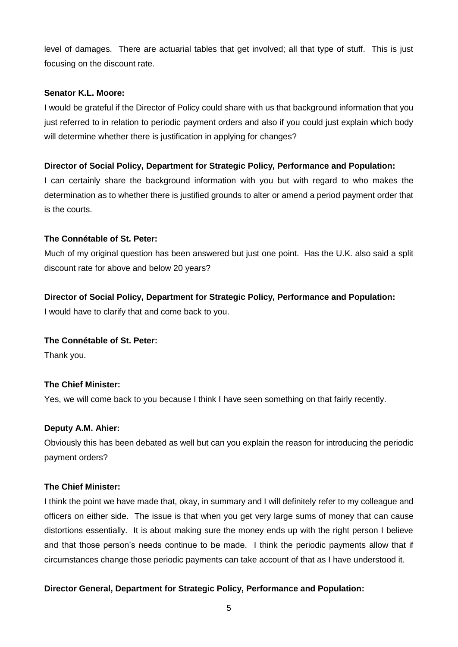level of damages. There are actuarial tables that get involved; all that type of stuff. This is just focusing on the discount rate.

# **Senator K.L. Moore:**

I would be grateful if the Director of Policy could share with us that background information that you just referred to in relation to periodic payment orders and also if you could just explain which body will determine whether there is justification in applying for changes?

# **Director of Social Policy, Department for Strategic Policy, Performance and Population:**

I can certainly share the background information with you but with regard to who makes the determination as to whether there is justified grounds to alter or amend a period payment order that is the courts.

# **The Connétable of St. Peter:**

Much of my original question has been answered but just one point. Has the U.K. also said a split discount rate for above and below 20 years?

# **Director of Social Policy, Department for Strategic Policy, Performance and Population:**

I would have to clarify that and come back to you.

# **The Connétable of St. Peter:**

Thank you.

# **The Chief Minister:**

Yes, we will come back to you because I think I have seen something on that fairly recently.

# **Deputy A.M. Ahier:**

Obviously this has been debated as well but can you explain the reason for introducing the periodic payment orders?

# **The Chief Minister:**

I think the point we have made that, okay, in summary and I will definitely refer to my colleague and officers on either side. The issue is that when you get very large sums of money that can cause distortions essentially. It is about making sure the money ends up with the right person I believe and that those person's needs continue to be made. I think the periodic payments allow that if circumstances change those periodic payments can take account of that as I have understood it.

# **Director General, Department for Strategic Policy, Performance and Population:**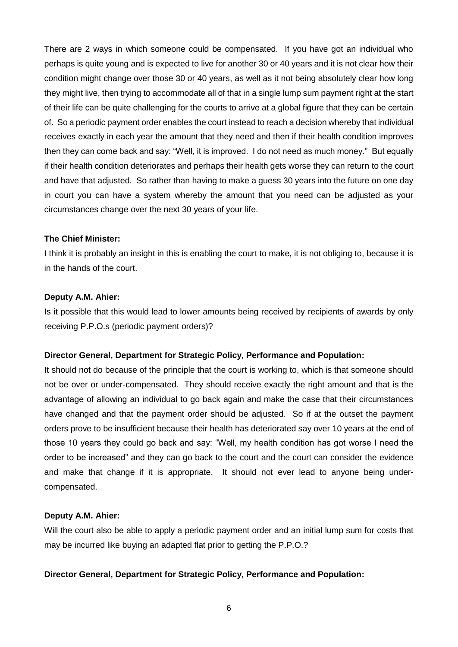There are 2 ways in which someone could be compensated. If you have got an individual who perhaps is quite young and is expected to live for another 30 or 40 years and it is not clear how their condition might change over those 30 or 40 years, as well as it not being absolutely clear how long they might live, then trying to accommodate all of that in a single lump sum payment right at the start of their life can be quite challenging for the courts to arrive at a global figure that they can be certain of. So a periodic payment order enables the court instead to reach a decision whereby that individual receives exactly in each year the amount that they need and then if their health condition improves then they can come back and say: "Well, it is improved. I do not need as much money." But equally if their health condition deteriorates and perhaps their health gets worse they can return to the court and have that adjusted. So rather than having to make a guess 30 years into the future on one day in court you can have a system whereby the amount that you need can be adjusted as your circumstances change over the next 30 years of your life.

# **The Chief Minister:**

I think it is probably an insight in this is enabling the court to make, it is not obliging to, because it is in the hands of the court.

#### **Deputy A.M. Ahier:**

Is it possible that this would lead to lower amounts being received by recipients of awards by only receiving P.P.O.s (periodic payment orders)?

# **Director General, Department for Strategic Policy, Performance and Population:**

It should not do because of the principle that the court is working to, which is that someone should not be over or under-compensated. They should receive exactly the right amount and that is the advantage of allowing an individual to go back again and make the case that their circumstances have changed and that the payment order should be adjusted. So if at the outset the payment orders prove to be insufficient because their health has deteriorated say over 10 years at the end of those 10 years they could go back and say: "Well, my health condition has got worse I need the order to be increased" and they can go back to the court and the court can consider the evidence and make that change if it is appropriate. It should not ever lead to anyone being undercompensated.

# **Deputy A.M. Ahier:**

Will the court also be able to apply a periodic payment order and an initial lump sum for costs that may be incurred like buying an adapted flat prior to getting the P.P.O.?

# **Director General, Department for Strategic Policy, Performance and Population:**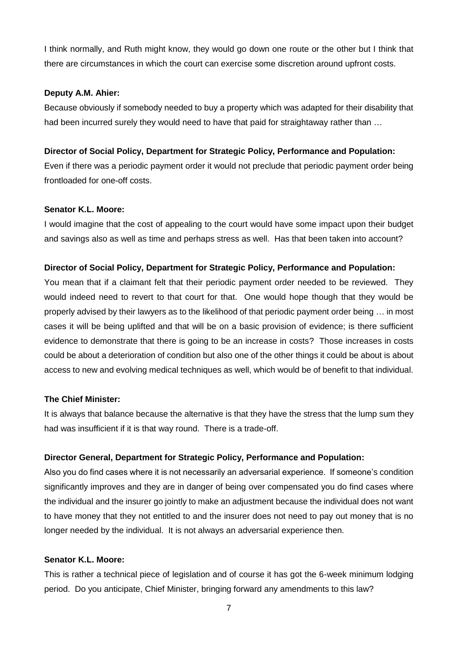I think normally, and Ruth might know, they would go down one route or the other but I think that there are circumstances in which the court can exercise some discretion around upfront costs.

# **Deputy A.M. Ahier:**

Because obviously if somebody needed to buy a property which was adapted for their disability that had been incurred surely they would need to have that paid for straightaway rather than …

#### **Director of Social Policy, Department for Strategic Policy, Performance and Population:**

Even if there was a periodic payment order it would not preclude that periodic payment order being frontloaded for one-off costs.

#### **Senator K.L. Moore:**

I would imagine that the cost of appealing to the court would have some impact upon their budget and savings also as well as time and perhaps stress as well. Has that been taken into account?

#### **Director of Social Policy, Department for Strategic Policy, Performance and Population:**

You mean that if a claimant felt that their periodic payment order needed to be reviewed. They would indeed need to revert to that court for that. One would hope though that they would be properly advised by their lawyers as to the likelihood of that periodic payment order being … in most cases it will be being uplifted and that will be on a basic provision of evidence; is there sufficient evidence to demonstrate that there is going to be an increase in costs? Those increases in costs could be about a deterioration of condition but also one of the other things it could be about is about access to new and evolving medical techniques as well, which would be of benefit to that individual.

# **The Chief Minister:**

It is always that balance because the alternative is that they have the stress that the lump sum they had was insufficient if it is that way round. There is a trade-off.

# **Director General, Department for Strategic Policy, Performance and Population:**

Also you do find cases where it is not necessarily an adversarial experience. If someone's condition significantly improves and they are in danger of being over compensated you do find cases where the individual and the insurer go jointly to make an adjustment because the individual does not want to have money that they not entitled to and the insurer does not need to pay out money that is no longer needed by the individual. It is not always an adversarial experience then.

#### **Senator K.L. Moore:**

This is rather a technical piece of legislation and of course it has got the 6-week minimum lodging period. Do you anticipate, Chief Minister, bringing forward any amendments to this law?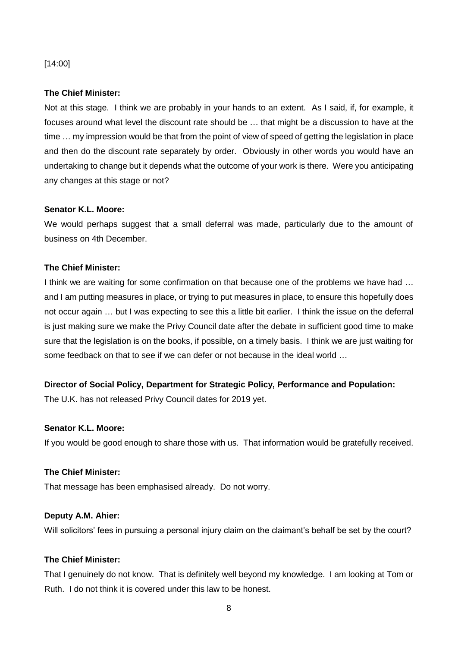#### [14:00]

#### **The Chief Minister:**

Not at this stage. I think we are probably in your hands to an extent. As I said, if, for example, it focuses around what level the discount rate should be … that might be a discussion to have at the time … my impression would be that from the point of view of speed of getting the legislation in place and then do the discount rate separately by order. Obviously in other words you would have an undertaking to change but it depends what the outcome of your work is there. Were you anticipating any changes at this stage or not?

#### **Senator K.L. Moore:**

We would perhaps suggest that a small deferral was made, particularly due to the amount of business on 4th December.

#### **The Chief Minister:**

I think we are waiting for some confirmation on that because one of the problems we have had … and I am putting measures in place, or trying to put measures in place, to ensure this hopefully does not occur again … but I was expecting to see this a little bit earlier. I think the issue on the deferral is just making sure we make the Privy Council date after the debate in sufficient good time to make sure that the legislation is on the books, if possible, on a timely basis. I think we are just waiting for some feedback on that to see if we can defer or not because in the ideal world …

# **Director of Social Policy, Department for Strategic Policy, Performance and Population:**

The U.K. has not released Privy Council dates for 2019 yet.

#### **Senator K.L. Moore:**

If you would be good enough to share those with us. That information would be gratefully received.

#### **The Chief Minister:**

That message has been emphasised already. Do not worry.

#### **Deputy A.M. Ahier:**

Will solicitors' fees in pursuing a personal injury claim on the claimant's behalf be set by the court?

#### **The Chief Minister:**

That I genuinely do not know. That is definitely well beyond my knowledge. I am looking at Tom or Ruth. I do not think it is covered under this law to be honest.

8